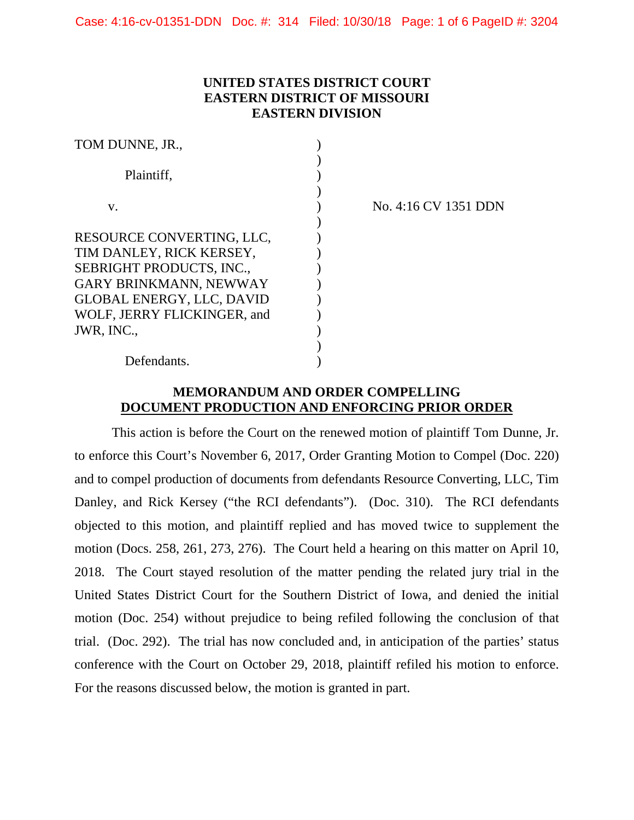# **UNITED STATES DISTRICT COURT EASTERN DISTRICT OF MISSOURI EASTERN DIVISION**

| TOM DUNNE, JR.,                  |  |
|----------------------------------|--|
|                                  |  |
| Plaintiff.                       |  |
|                                  |  |
| V.                               |  |
|                                  |  |
| RESOURCE CONVERTING, LLC,        |  |
| TIM DANLEY, RICK KERSEY,         |  |
| <b>SEBRIGHT PRODUCTS, INC.,</b>  |  |
| <b>GARY BRINKMANN, NEWWAY</b>    |  |
| <b>GLOBAL ENERGY, LLC, DAVID</b> |  |
| WOLF, JERRY FLICKINGER, and      |  |
| JWR, INC.,                       |  |
|                                  |  |
| Defendants.                      |  |

v. ) No. 4:16 CV 1351 DDN

## **MEMORANDUM AND ORDER COMPELLING DOCUMENT PRODUCTION AND ENFORCING PRIOR ORDER**

This action is before the Court on the renewed motion of plaintiff Tom Dunne, Jr. to enforce this Court's November 6, 2017, Order Granting Motion to Compel (Doc. 220) and to compel production of documents from defendants Resource Converting, LLC, Tim Danley, and Rick Kersey ("the RCI defendants"). (Doc. 310). The RCI defendants objected to this motion, and plaintiff replied and has moved twice to supplement the motion (Docs. 258, 261, 273, 276). The Court held a hearing on this matter on April 10, 2018. The Court stayed resolution of the matter pending the related jury trial in the United States District Court for the Southern District of Iowa, and denied the initial motion (Doc. 254) without prejudice to being refiled following the conclusion of that trial. (Doc. 292). The trial has now concluded and, in anticipation of the parties' status conference with the Court on October 29, 2018, plaintiff refiled his motion to enforce. For the reasons discussed below, the motion is granted in part.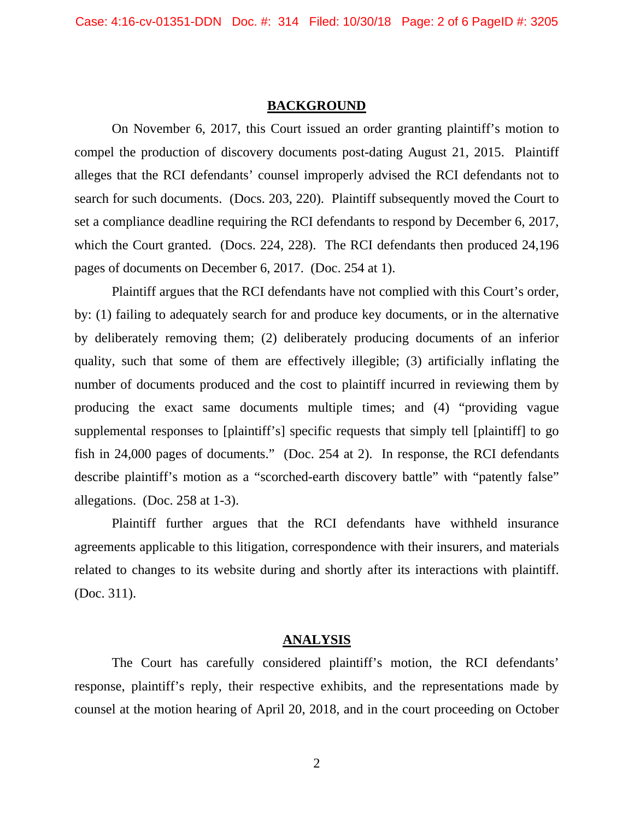## **BACKGROUND**

 On November 6, 2017, this Court issued an order granting plaintiff's motion to compel the production of discovery documents post-dating August 21, 2015. Plaintiff alleges that the RCI defendants' counsel improperly advised the RCI defendants not to search for such documents. (Docs. 203, 220). Plaintiff subsequently moved the Court to set a compliance deadline requiring the RCI defendants to respond by December 6, 2017, which the Court granted. (Docs. 224, 228). The RCI defendants then produced 24,196 pages of documents on December 6, 2017. (Doc. 254 at 1).

 Plaintiff argues that the RCI defendants have not complied with this Court's order, by: (1) failing to adequately search for and produce key documents, or in the alternative by deliberately removing them; (2) deliberately producing documents of an inferior quality, such that some of them are effectively illegible; (3) artificially inflating the number of documents produced and the cost to plaintiff incurred in reviewing them by producing the exact same documents multiple times; and (4) "providing vague supplemental responses to [plaintiff's] specific requests that simply tell [plaintiff] to go fish in 24,000 pages of documents." (Doc. 254 at 2). In response, the RCI defendants describe plaintiff's motion as a "scorched-earth discovery battle" with "patently false" allegations. (Doc. 258 at 1-3).

 Plaintiff further argues that the RCI defendants have withheld insurance agreements applicable to this litigation, correspondence with their insurers, and materials related to changes to its website during and shortly after its interactions with plaintiff. (Doc. 311).

#### **ANALYSIS**

 The Court has carefully considered plaintiff's motion, the RCI defendants' response, plaintiff's reply, their respective exhibits, and the representations made by counsel at the motion hearing of April 20, 2018, and in the court proceeding on October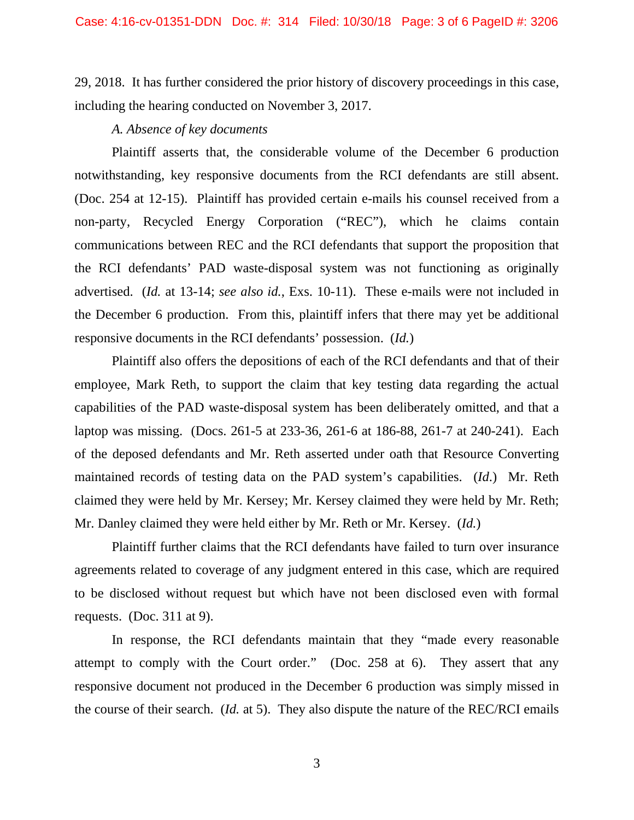29, 2018. It has further considered the prior history of discovery proceedings in this case, including the hearing conducted on November 3, 2017.

#### *A. Absence of key documents*

Plaintiff asserts that, the considerable volume of the December 6 production notwithstanding, key responsive documents from the RCI defendants are still absent. (Doc. 254 at 12-15). Plaintiff has provided certain e-mails his counsel received from a non-party, Recycled Energy Corporation ("REC"), which he claims contain communications between REC and the RCI defendants that support the proposition that the RCI defendants' PAD waste-disposal system was not functioning as originally advertised. (*Id.* at 13-14; *see also id.*, Exs. 10-11). These e-mails were not included in the December 6 production. From this, plaintiff infers that there may yet be additional responsive documents in the RCI defendants' possession. (*Id.*)

 Plaintiff also offers the depositions of each of the RCI defendants and that of their employee, Mark Reth, to support the claim that key testing data regarding the actual capabilities of the PAD waste-disposal system has been deliberately omitted, and that a laptop was missing. (Docs. 261-5 at 233-36, 261-6 at 186-88, 261-7 at 240-241). Each of the deposed defendants and Mr. Reth asserted under oath that Resource Converting maintained records of testing data on the PAD system's capabilities. (*Id*.) Mr. Reth claimed they were held by Mr. Kersey; Mr. Kersey claimed they were held by Mr. Reth; Mr. Danley claimed they were held either by Mr. Reth or Mr. Kersey. (*Id.*)

 Plaintiff further claims that the RCI defendants have failed to turn over insurance agreements related to coverage of any judgment entered in this case, which are required to be disclosed without request but which have not been disclosed even with formal requests. (Doc. 311 at 9).

In response, the RCI defendants maintain that they "made every reasonable attempt to comply with the Court order." (Doc. 258 at 6). They assert that any responsive document not produced in the December 6 production was simply missed in the course of their search. (*Id.* at 5). They also dispute the nature of the REC/RCI emails

3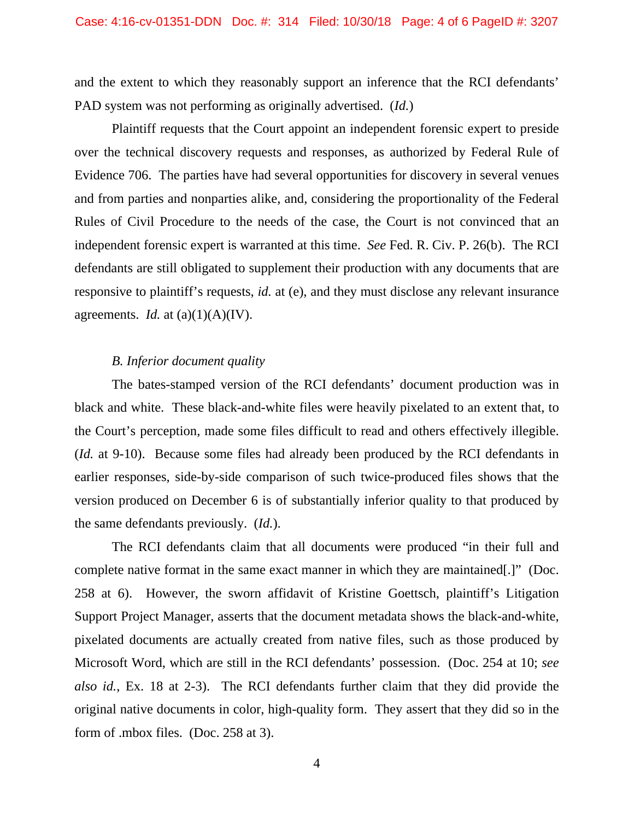and the extent to which they reasonably support an inference that the RCI defendants' PAD system was not performing as originally advertised. (*Id.*)

Plaintiff requests that the Court appoint an independent forensic expert to preside over the technical discovery requests and responses, as authorized by Federal Rule of Evidence 706. The parties have had several opportunities for discovery in several venues and from parties and nonparties alike, and, considering the proportionality of the Federal Rules of Civil Procedure to the needs of the case, the Court is not convinced that an independent forensic expert is warranted at this time. *See* Fed. R. Civ. P. 26(b). The RCI defendants are still obligated to supplement their production with any documents that are responsive to plaintiff's requests, *id.* at (e), and they must disclose any relevant insurance agreements. *Id.* at  $(a)(1)(A)(IV)$ .

### *B. Inferior document quality*

 The bates-stamped version of the RCI defendants' document production was in black and white. These black-and-white files were heavily pixelated to an extent that, to the Court's perception, made some files difficult to read and others effectively illegible. (*Id.* at 9-10). Because some files had already been produced by the RCI defendants in earlier responses, side-by-side comparison of such twice-produced files shows that the version produced on December 6 is of substantially inferior quality to that produced by the same defendants previously. (*Id.*).

The RCI defendants claim that all documents were produced "in their full and complete native format in the same exact manner in which they are maintained[.]" (Doc. 258 at 6). However, the sworn affidavit of Kristine Goettsch, plaintiff's Litigation Support Project Manager, asserts that the document metadata shows the black-and-white, pixelated documents are actually created from native files, such as those produced by Microsoft Word, which are still in the RCI defendants' possession. (Doc. 254 at 10; *see also id.*, Ex. 18 at 2-3). The RCI defendants further claim that they did provide the original native documents in color, high-quality form. They assert that they did so in the form of .mbox files. (Doc. 258 at 3).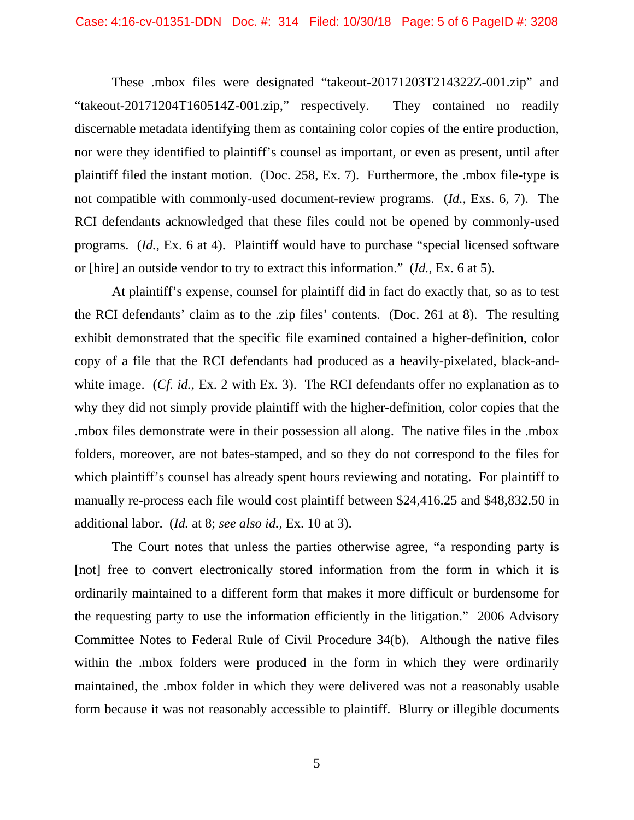These .mbox files were designated "takeout-20171203T214322Z-001.zip" and "takeout-20171204T160514Z-001.zip," respectively. They contained no readily discernable metadata identifying them as containing color copies of the entire production, nor were they identified to plaintiff's counsel as important, or even as present, until after plaintiff filed the instant motion. (Doc. 258, Ex. 7). Furthermore, the .mbox file-type is not compatible with commonly-used document-review programs. (*Id.*, Exs. 6, 7). The RCI defendants acknowledged that these files could not be opened by commonly-used programs. (*Id.*, Ex. 6 at 4). Plaintiff would have to purchase "special licensed software or [hire] an outside vendor to try to extract this information." (*Id.*, Ex. 6 at 5).

At plaintiff's expense, counsel for plaintiff did in fact do exactly that, so as to test the RCI defendants' claim as to the .zip files' contents. (Doc. 261 at 8). The resulting exhibit demonstrated that the specific file examined contained a higher-definition, color copy of a file that the RCI defendants had produced as a heavily-pixelated, black-andwhite image. (*Cf. id.*, Ex. 2 with Ex. 3). The RCI defendants offer no explanation as to why they did not simply provide plaintiff with the higher-definition, color copies that the .mbox files demonstrate were in their possession all along. The native files in the .mbox folders, moreover, are not bates-stamped, and so they do not correspond to the files for which plaintiff's counsel has already spent hours reviewing and notating. For plaintiff to manually re-process each file would cost plaintiff between \$24,416.25 and \$48,832.50 in additional labor. (*Id.* at 8; *see also id.*, Ex. 10 at 3).

The Court notes that unless the parties otherwise agree, "a responding party is [not] free to convert electronically stored information from the form in which it is ordinarily maintained to a different form that makes it more difficult or burdensome for the requesting party to use the information efficiently in the litigation." 2006 Advisory Committee Notes to Federal Rule of Civil Procedure 34(b). Although the native files within the .mbox folders were produced in the form in which they were ordinarily maintained, the .mbox folder in which they were delivered was not a reasonably usable form because it was not reasonably accessible to plaintiff. Blurry or illegible documents